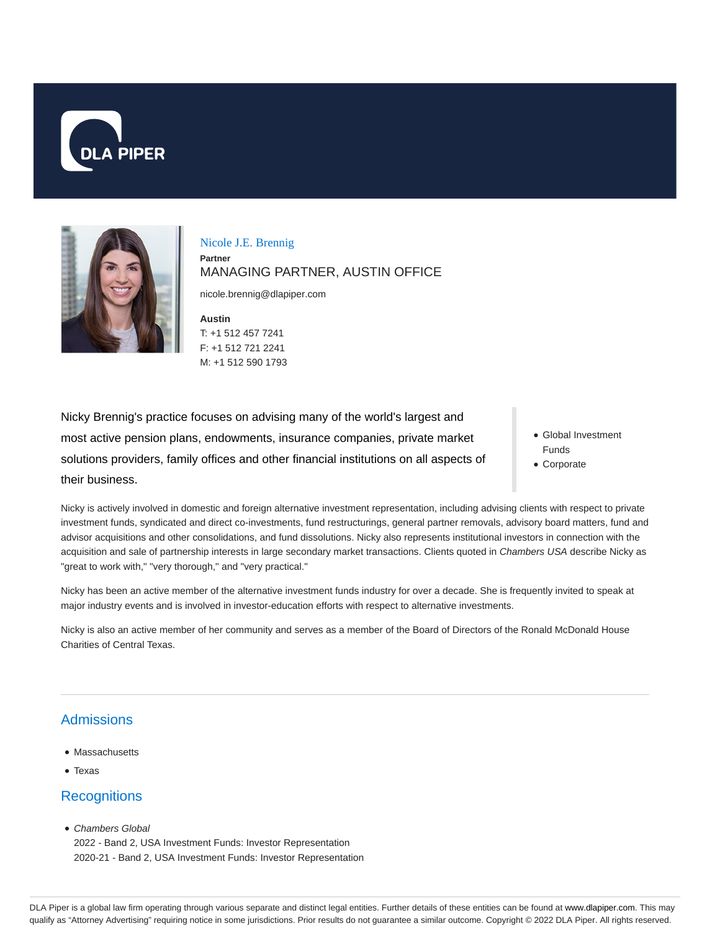



Nicole J.E. Brennig **Partner** MANAGING PARTNER, AUSTIN OFFICE

nicole.brennig@dlapiper.com

**Austin** T: +1 512 457 7241 F: +1 512 721 2241 M: +1 512 590 1793

Nicky Brennig's practice focuses on advising many of the world's largest and most active pension plans, endowments, insurance companies, private market solutions providers, family offices and other financial institutions on all aspects of their business.

- Global Investment Funds
- Corporate

Nicky is actively involved in domestic and foreign alternative investment representation, including advising clients with respect to private investment funds, syndicated and direct co-investments, fund restructurings, general partner removals, advisory board matters, fund and advisor acquisitions and other consolidations, and fund dissolutions. Nicky also represents institutional investors in connection with the acquisition and sale of partnership interests in large secondary market transactions. Clients quoted in Chambers USA describe Nicky as "great to work with," "very thorough," and "very practical."

Nicky has been an active member of the alternative investment funds industry for over a decade. She is frequently invited to speak at major industry events and is involved in investor-education efforts with respect to alternative investments.

Nicky is also an active member of her community and serves as a member of the Board of Directors of the Ronald McDonald House Charities of Central Texas.

# **Admissions**

- Massachusetts
- Texas

# **Recognitions**

• Chambers Global

2022 - Band 2, USA Investment Funds: Investor Representation 2020-21 - Band 2, USA Investment Funds: Investor Representation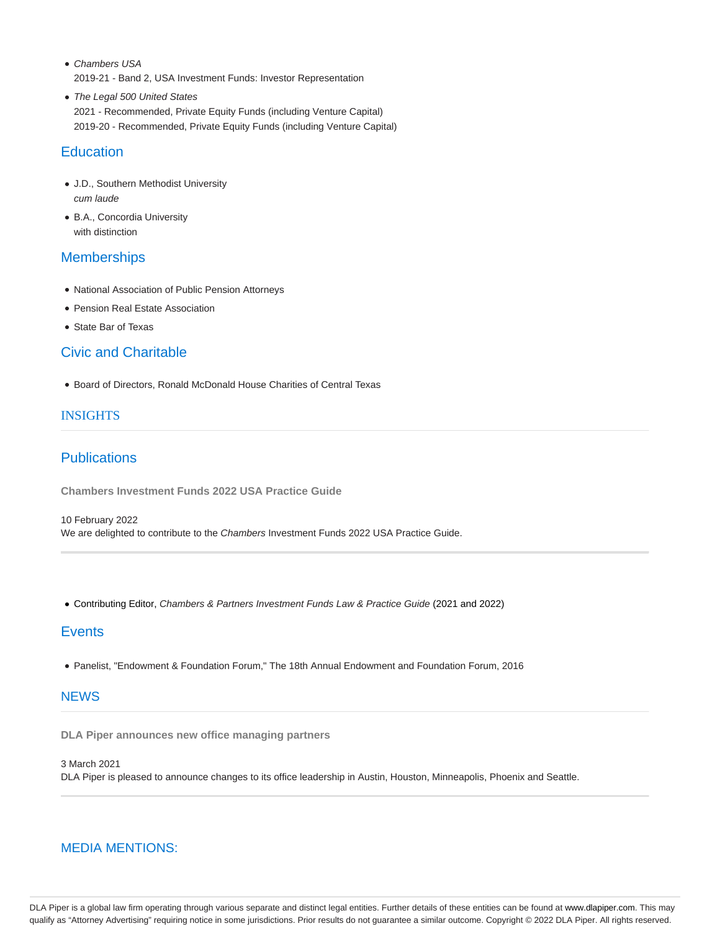- Chambers USA 2019-21 - Band 2, USA Investment Funds: Investor Representation
- The Legal 500 United States 2021 - Recommended, Private Equity Funds (including Venture Capital) 2019-20 - Recommended, Private Equity Funds (including Venture Capital)

# **Education**

- J.D., Southern Methodist University cum laude
- B.A., Concordia University with distinction

## **Memberships**

- National Association of Public Pension Attorneys
- Pension Real Estate Association
- State Bar of Texas

# Civic and Charitable

Board of Directors, Ronald McDonald House Charities of Central Texas

#### INSIGHTS

# **Publications**

**Chambers Investment Funds 2022 USA Practice Guide**

10 February 2022 We are delighted to contribute to the Chambers Investment Funds 2022 USA Practice Guide.

Contributing Editor, Chambers & Partners Investment Funds Law & Practice Guide (2021 and 2022)

## **Events**

Panelist, "Endowment & Foundation Forum," The 18th Annual Endowment and Foundation Forum, 2016

## **NEWS**

**DLA Piper announces new office managing partners**

3 March 2021 DLA Piper is pleased to announce changes to its office leadership in Austin, Houston, Minneapolis, Phoenix and Seattle.

## MEDIA MENTIONS:

DLA Piper is a global law firm operating through various separate and distinct legal entities. Further details of these entities can be found at www.dlapiper.com. This may qualify as "Attorney Advertising" requiring notice in some jurisdictions. Prior results do not guarantee a similar outcome. Copyright © 2022 DLA Piper. All rights reserved.